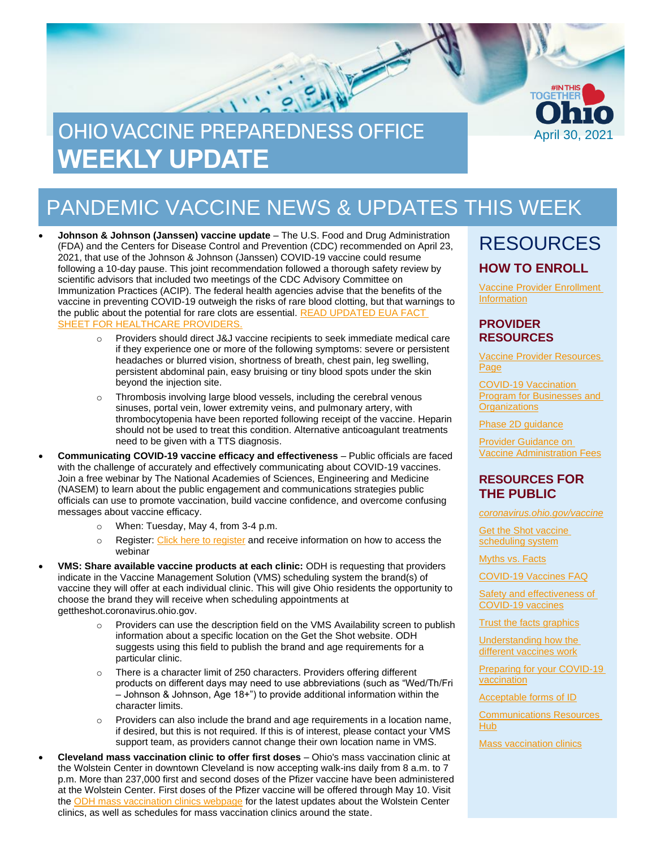

# PANDEMIC VACCINE NEWS & UPDATES THIS WEEK

• **Johnson & Johnson (Janssen) vaccine update** – The U.S. Food and Drug Administration (FDA) and the Centers for Disease Control and Prevention (CDC) recommended on April 23, 2021, that use of the Johnson & Johnson (Janssen) COVID-19 vaccine could resume following a 10-day pause. This joint recommendation followed a thorough safety review by scientific advisors that included two meetings of the CDC Advisory Committee on Immunization Practices (ACIP). The federal health agencies advise that the benefits of the vaccine in preventing COVID-19 outweigh the risks of rare blood clotting, but that warnings to the public about the potential for rare clots are essential. [READ UPDATED EUA FACT](https://www.fda.gov/media/146304/download)  [SHEET FOR HEALTHCARE PROVIDERS.](https://www.fda.gov/media/146304/download)

- Providers should direct J&J vaccine recipients to seek immediate medical care if they experience one or more of the following symptoms: severe or persistent headaches or blurred vision, shortness of breath, chest pain, leg swelling, persistent abdominal pain, easy bruising or tiny blood spots under the skin beyond the injection site.
- o Thrombosis involving large blood vessels, including the cerebral venous sinuses, portal vein, lower extremity veins, and pulmonary artery, with thrombocytopenia have been reported following receipt of the vaccine. Heparin should not be used to treat this condition. Alternative anticoagulant treatments need to be given with a TTS diagnosis.
- **Communicating COVID-19 vaccine efficacy and effectiveness** Public officials are faced with the challenge of accurately and effectively communicating about COVID-19 vaccines. Join a free webinar by The National Academies of Sciences, Engineering and Medicine (NASEM) to learn about the public engagement and communications strategies public officials can use to promote vaccination, build vaccine confidence, and overcome confusing messages about vaccine efficacy.
	- o When: Tuesday, May 4, from 3-4 p.m.
	- $\circ$  Register[: Click here to register](https://www.eventbrite.com/e/covid-19-vaccines-building-confidence-explaining-efficacy-tickets-151238902629) and receive information on how to access the webinar
- **VMS: Share available vaccine products at each clinic:** ODH is requesting that providers indicate in the Vaccine Management Solution (VMS) scheduling system the brand(s) of vaccine they will offer at each individual clinic. This will give Ohio residents the opportunity to choose the brand they will receive when scheduling appointments at gettheshot.coronavirus.ohio.gov.
	- $\circ$  Providers can use the description field on the VMS Availability screen to publish information about a specific location on the Get the Shot website. ODH suggests using this field to publish the brand and age requirements for a particular clinic.
	- o There is a character limit of 250 characters. Providers offering different products on different days may need to use abbreviations (such as "Wed/Th/Fri – Johnson & Johnson, Age 18+") to provide additional information within the character limits.
	- $\circ$  Providers can also include the brand and age requirements in a location name, if desired, but this is not required. If this is of interest, please contact your VMS support team, as providers cannot change their own location name in VMS.
- **Cleveland mass vaccination clinic to offer first doses** Ohio's mass vaccination clinic at the Wolstein Center in downtown Cleveland is now accepting walk-ins daily from 8 a.m. to 7 p.m. More than 237,000 first and second doses of the Pfizer vaccine have been administered at the Wolstein Center. First doses of the Pfizer vaccine will be offered through May 10. Visit the [ODH mass vaccination clinics webpage](https://coronavirus.ohio.gov/wps/portal/gov/covid-19/covid-19-vaccination-program/resources) for the latest updates about the Wolstein Center clinics, as well as schedules for mass vaccination clinics around the state.

### RESOURCES **HOW TO ENROLL**

[Vaccine Provider Enrollment](https://odh.ohio.gov/wps/portal/gov/odh/know-our-programs/immunization/pandemic-vaccine-provider/ohio-covid-19-provider-enrollment)  **[Information](https://odh.ohio.gov/wps/portal/gov/odh/know-our-programs/immunization/pandemic-vaccine-provider/ohio-covid-19-provider-enrollment)** 

#### **PROVIDER RESOURCES**

[Vaccine Provider Resources](https://odh.ohio.gov/wps/portal/gov/odh/know-our-programs/covid-19-vaccine-provider/latest-resources/latest-resources) [Page](https://odh.ohio.gov/wps/portal/gov/odh/know-our-programs/covid-19-vaccine-provider/latest-resources/latest-resources)

[COVID-19 Vaccination](https://coronavirus.ohio.gov/wps/portal/gov/covid-19/covid-19-vaccination-program/businesses-and-organizations)  [Program for Businesses and](https://coronavirus.ohio.gov/wps/portal/gov/covid-19/covid-19-vaccination-program/businesses-and-organizations)  **[Organizations](https://coronavirus.ohio.gov/wps/portal/gov/covid-19/covid-19-vaccination-program/businesses-and-organizations)** 

[Phase 2D guidance](https://odh.ohio.gov/static/covid19/vaccine-providers/provider-info-phase-2d.pdf)

[Provider Guidance on](https://odh.ohio.gov/static/covid19/vaccine-providers/provider-guidance-vaccine-administration-fees.pdf)  [Vaccine Administration Fees](https://odh.ohio.gov/static/covid19/vaccine-providers/provider-guidance-vaccine-administration-fees.pdf)

#### **RESOURCES FOR THE PUBLIC**

*[coronavirus.ohio.gov/vaccine](https://coronavirus.ohio.gov/vaccine)*

[Get the Shot vaccine](https://gettheshot.coronavirus.ohio.gov/)  [scheduling system](https://gettheshot.coronavirus.ohio.gov/)

[Myths vs. Facts](https://coronavirus.ohio.gov/wps/portal/gov/covid-19/covid-19-vaccination-program/19-vaccine-myths-vs-facts/19-vaccine-myths-vs-facts)

[COVID-19 Vaccines FAQ](https://coronavirus.ohio.gov/wps/portal/gov/covid-19/resources/general-resources/frequently-asked-questions+covid-19-vaccine)

[Safety and effectiveness of](https://coronavirus.ohio.gov/static/vaccine/covid-19-vaccine-safety.pdf)  [COVID-19 vaccines](https://coronavirus.ohio.gov/static/vaccine/covid-19-vaccine-safety.pdf)

**[Trust the facts graphics](https://coronavirus.ohio.gov/static/vaccine/trust_the_facts_full.jpg)** 

[Understanding how the](https://coronavirus.ohio.gov/static/vaccine/covid-19-how-vaccines-work.pdf)  [different vaccines work](https://coronavirus.ohio.gov/static/vaccine/covid-19-how-vaccines-work.pdf)

[Preparing for your COVID-19](https://coronavirus.ohio.gov/static/vaccine/covid-19-fact-sheet-vaccine-appointment.pdf)  [vaccination](https://coronavirus.ohio.gov/static/vaccine/covid-19-fact-sheet-vaccine-appointment.pdf)

[Acceptable forms of ID](https://coronavirus.ohio.gov/static/vaccine/covid-19-fact-sheet-forms-of-id.pdf)

[Communications Resources](https://coronavirus.ohio.gov/wps/portal/gov/covid-19/health-equity/communications-resources-hub/communications-resources-hub)  [Hub](https://coronavirus.ohio.gov/wps/portal/gov/covid-19/health-equity/communications-resources-hub/communications-resources-hub)

[Mass vaccination clinics](https://coronavirus.ohio.gov/wps/portal/gov/covid-19/covid-19-vaccination-program/resources/covid-19-mass-vaccination-clinics)